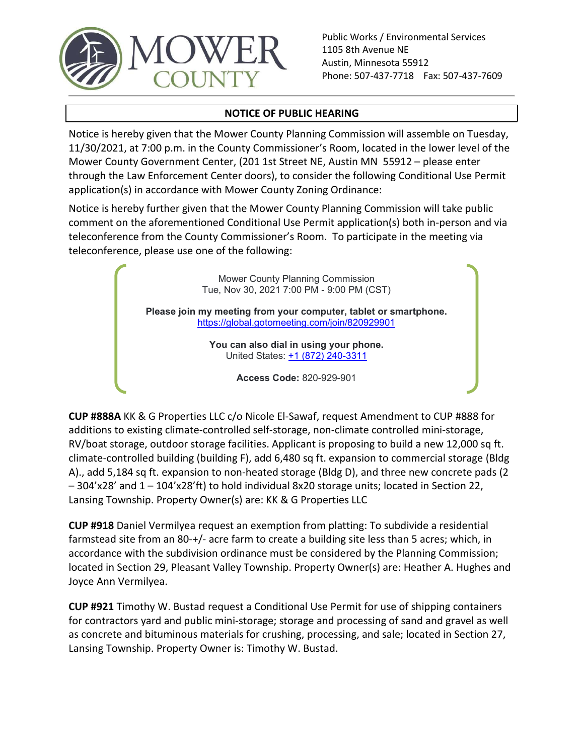

Public Works / Environmental Services 1105 8th Avenue NE Austin, Minnesota 55912 Phone: 507-437-7718 Fax: 507-437-7609

## NOTICE OF PUBLIC HEARING

Notice is hereby given that the Mower County Planning Commission will assemble on Tuesday, 11/30/2021, at 7:00 p.m. in the County Commissioner's Room, located in the lower level of the Public Works / Environmental Services<br>
MOWER Phone: 507-437-7718 Fax: 507-437-7609<br>
NOTICE OF PUBLIC HEARING<br>
NOTICE OF PUBLIC HEARING<br>
NOTICE OF PUBLIC HEARING<br>
NOTICE OF PUBLIC HEARING<br>
NOWER COUNTY GOVERNMENT CONDITY Pl through the Law Enforcement Center doors), to consider the following Conditional Use Permit application(s) in accordance with Mower County Zoning Ordinance: Notice is hereby further given that the Mower County Planning Commission will take public FORTHER Public Works / Environmental Services<br>
COUNTY Public Works / Environmental Services<br>
Phone: 507-437-7718 Fax: 507-437-7609<br>
Notice is hereby given that the Mower County Planning Commission will assemble on Tuesday,

teleconference from the County Commissioner's Room. To participate in the meeting via teleconference, please use one of the following:

> Mower County Planning Commission Tue, Nov 30, 2021 7:00 PM - 9:00 PM (CST)

Please join my meeting from your computer, tablet or smartphone. https://global.gotomeeting.com/join/820929901

> You can also dial in using your phone. United States: +1 (872) 240-3311

> > Access Code: 820-929-901

Impuris the we thouchern technic terrel tools), to cursule the following Ordinance:<br>
Application(s) in accordance with Mower County Planning Commission will take public<br>
comment on the aforementioned Conditional Use Permit additions to existing climate-controlled self-storage, non-climate controlled mini-storage, RV/boat storage, outdoor storage facilities. Applicant is proposing to build a new 12,000 sq ft. climate-controlled building (building F), add 6,480 sq ft. expansion to commercial storage (Bldg A)., add 5,184 sq ft. expansion to non-heated storage (Bldg D), and three new concrete pads (2 – 304'x28' and 1 – 104'x28'ft) to hold individual 8x20 storage units; located in Section 22, Mower County Planning Commission<br>
Tue, Nov 30, 2021 7:00 PM - 9:00 PM (CST)<br>
Please join my meeting from your computer, tablet or smartphone.<br>
Intitias://olobal.qolomeeting.com/join/820929901<br>
You are also dial in using yo **Prouson also dial in using your phone.**<br>
United States:  $\pm 1$  (872) 240-3311<br>
Access Code: 820-929-901<br> **CUP #888A** KK & G Properties LLC c/o Nicole El-Sawaf, request Amendment to CUP #888 for<br>
additions to existing Clim CUP #888A KK & G Properties LLC c/o Nicole El-Sawaf, request Amendment to CUP #888 for<br>additions to existing climate-controlled self-storage, non-climate controlled mini-storage,<br>RV/boat storage, outdoor storage facilities

CUP #918 Daniel Vermilyea request an exemption from platting: To subdivide a residential farmstead site from an 80-+/- acre farm to create a building site less than 5 acres; which, in accordance with the subdivision ordinance must be considered by the Planning Commission; Joyce Ann Vermilyea.

CUP #921 Timothy W. Bustad request a Conditional Use Permit for use of shipping containers for contractors yard and public mini-storage; storage and processing of sand and gravel as well as concrete and bituminous materials for crushing, processing, and sale; located in Section 27,